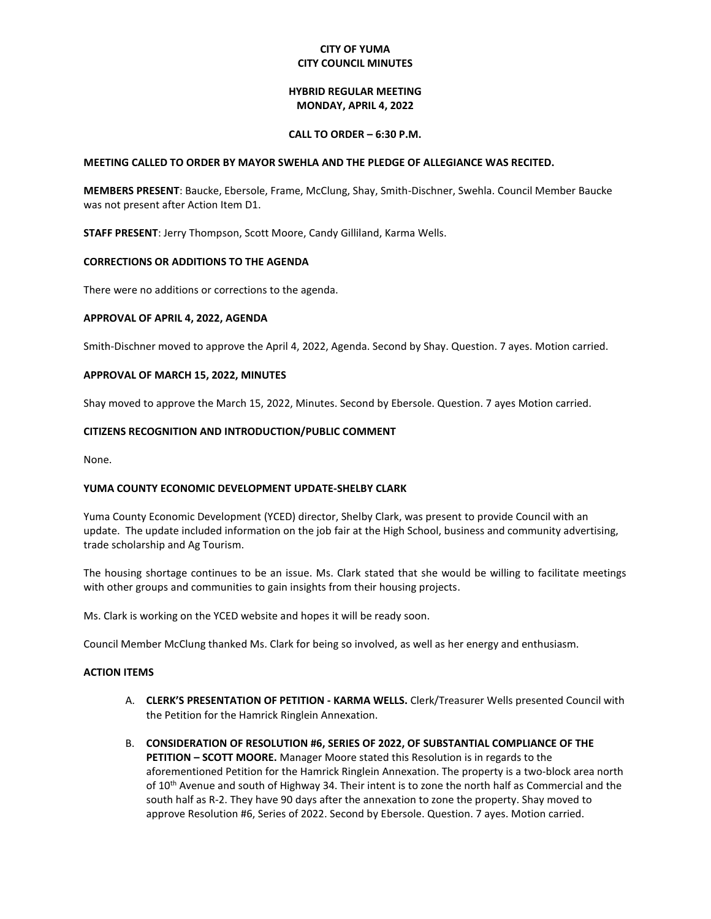# **CITY OF YUMA CITY COUNCIL MINUTES**

## **HYBRID REGULAR MEETING MONDAY, APRIL 4, 2022**

### **CALL TO ORDER – 6:30 P.M.**

### **MEETING CALLED TO ORDER BY MAYOR SWEHLA AND THE PLEDGE OF ALLEGIANCE WAS RECITED.**

**MEMBERS PRESENT**: Baucke, Ebersole, Frame, McClung, Shay, Smith-Dischner, Swehla. Council Member Baucke was not present after Action Item D1.

**STAFF PRESENT**: Jerry Thompson, Scott Moore, Candy Gilliland, Karma Wells.

# **CORRECTIONS OR ADDITIONS TO THE AGENDA**

There were no additions or corrections to the agenda.

## **APPROVAL OF APRIL 4, 2022, AGENDA**

Smith-Dischner moved to approve the April 4, 2022, Agenda. Second by Shay. Question. 7 ayes. Motion carried.

## **APPROVAL OF MARCH 15, 2022, MINUTES**

Shay moved to approve the March 15, 2022, Minutes. Second by Ebersole. Question. 7 ayes Motion carried.

## **CITIZENS RECOGNITION AND INTRODUCTION/PUBLIC COMMENT**

None.

# **YUMA COUNTY ECONOMIC DEVELOPMENT UPDATE-SHELBY CLARK**

Yuma County Economic Development (YCED) director, Shelby Clark, was present to provide Council with an update. The update included information on the job fair at the High School, business and community advertising, trade scholarship and Ag Tourism.

The housing shortage continues to be an issue. Ms. Clark stated that she would be willing to facilitate meetings with other groups and communities to gain insights from their housing projects.

Ms. Clark is working on the YCED website and hopes it will be ready soon.

Council Member McClung thanked Ms. Clark for being so involved, as well as her energy and enthusiasm.

### **ACTION ITEMS**

- A. **CLERK'S PRESENTATION OF PETITION - KARMA WELLS.** Clerk/Treasurer Wells presented Council with the Petition for the Hamrick Ringlein Annexation.
- B. **CONSIDERATION OF RESOLUTION #6, SERIES OF 2022, OF SUBSTANTIAL COMPLIANCE OF THE PETITION – SCOTT MOORE.** Manager Moore stated this Resolution is in regards to the aforementioned Petition for the Hamrick Ringlein Annexation. The property is a two-block area north of 10<sup>th</sup> Avenue and south of Highway 34. Their intent is to zone the north half as Commercial and the south half as R-2. They have 90 days after the annexation to zone the property. Shay moved to approve Resolution #6, Series of 2022. Second by Ebersole. Question. 7 ayes. Motion carried.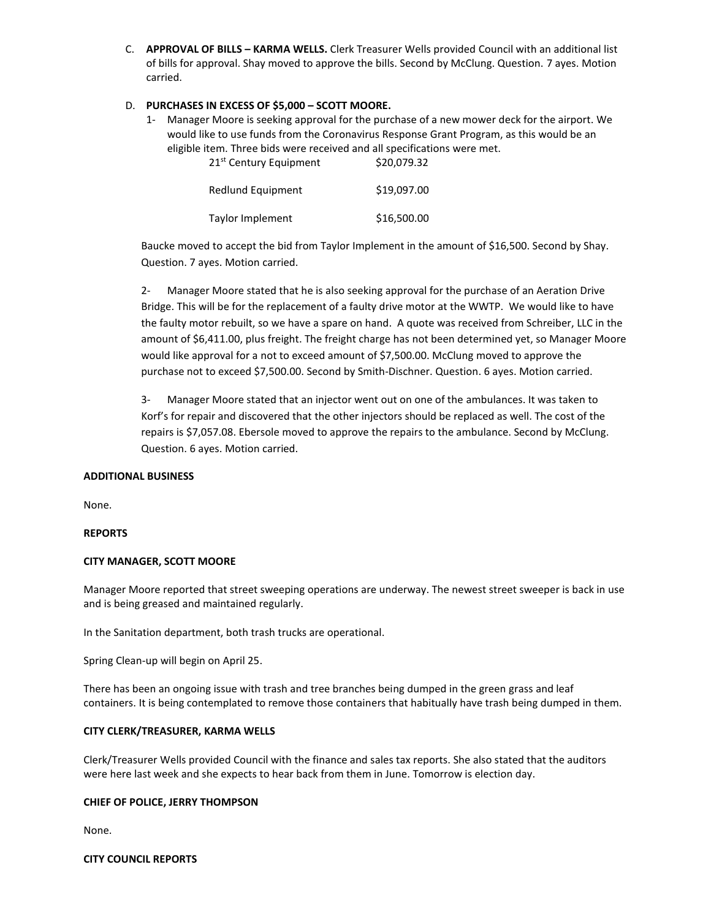C. **APPROVAL OF BILLS – KARMA WELLS.** Clerk Treasurer Wells provided Council with an additional list of bills for approval. Shay moved to approve the bills. Second by McClung. Question. 7 ayes. Motion carried.

# D. **PURCHASES IN EXCESS OF \$5,000 – SCOTT MOORE.**

1- Manager Moore is seeking approval for the purchase of a new mower deck for the airport. We would like to use funds from the Coronavirus Response Grant Program, as this would be an eligible item. Three bids were received and all specifications were met.

21<sup>st</sup> Century Equipment \$20,079.32

| Redlund Equipment | \$19,097.00 |
|-------------------|-------------|
| Taylor Implement  | \$16,500.00 |

Baucke moved to accept the bid from Taylor Implement in the amount of \$16,500. Second by Shay. Question. 7 ayes. Motion carried.

2- Manager Moore stated that he is also seeking approval for the purchase of an Aeration Drive Bridge. This will be for the replacement of a faulty drive motor at the WWTP. We would like to have the faulty motor rebuilt, so we have a spare on hand. A quote was received from Schreiber, LLC in the amount of \$6,411.00, plus freight. The freight charge has not been determined yet, so Manager Moore would like approval for a not to exceed amount of \$7,500.00. McClung moved to approve the purchase not to exceed \$7,500.00. Second by Smith-Dischner. Question. 6 ayes. Motion carried.

3- Manager Moore stated that an injector went out on one of the ambulances. It was taken to Korf's for repair and discovered that the other injectors should be replaced as well. The cost of the repairs is \$7,057.08. Ebersole moved to approve the repairs to the ambulance. Second by McClung. Question. 6 ayes. Motion carried.

#### **ADDITIONAL BUSINESS**

None.

#### **REPORTS**

#### **CITY MANAGER, SCOTT MOORE**

Manager Moore reported that street sweeping operations are underway. The newest street sweeper is back in use and is being greased and maintained regularly.

In the Sanitation department, both trash trucks are operational.

Spring Clean-up will begin on April 25.

There has been an ongoing issue with trash and tree branches being dumped in the green grass and leaf containers. It is being contemplated to remove those containers that habitually have trash being dumped in them.

#### **CITY CLERK/TREASURER, KARMA WELLS**

Clerk/Treasurer Wells provided Council with the finance and sales tax reports. She also stated that the auditors were here last week and she expects to hear back from them in June. Tomorrow is election day.

#### **CHIEF OF POLICE, JERRY THOMPSON**

None.

**CITY COUNCIL REPORTS**